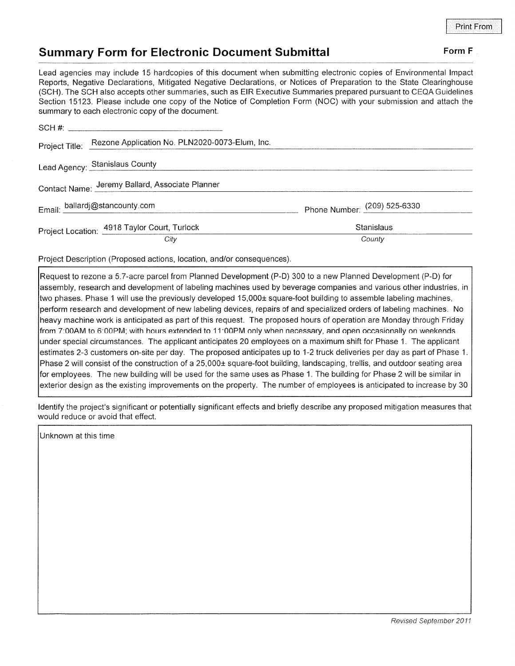## Summary Form for Electronic Document Submittal Form F

Lead agencies may include 15 hardcopies of this document when submitting electronic copies of Environmental lmpact Reports, Negative Declarations, Mitigated Negative Declarations, or Notices of Preparation to the State Clearinghouse (SCH). The SCH also accepts other summaries, such as EIR Executive Summaries prepared pursuant to CEQA Guidelines Section 15123. Please include one copy of the Notice of Completion Form (NOC) with your submission and attach the summary to each electronic copy of the document.

|  | Project Title: Rezone Application No. PLN2020-0073-Elum, Inc. |                              |
|--|---------------------------------------------------------------|------------------------------|
|  | Lead Agency: Stanislaus County                                |                              |
|  | Contact Name: Jeremy Ballard, Associate Planner               |                              |
|  | Email: ballardj@stancounty.com                                | Phone Number: (209) 525-6330 |
|  | Project Location: 4918 Taylor Court, Turlock                  | Stanislaus                   |
|  | City                                                          | County                       |

Project Description (Proposed actions, location, and/or consequences)

Request to rezone a 5.7-acre parcel from Planned Development (P-D) 300 to a new Planned Development (P-D) for assembly, research and development of labeling machines used by beverage companies and various other industries, in two phases. Phase 1 will use the previously developed 15,000± square-foot building to assemble labeling machines, perform research and development of new labeling devices, repairs of and specialized orders of labeling machines. No heavy machine work is anticipated as part of this request. The proposed hours of operation are Monday through Friday from 7:00AM to 6:00PM; with hours extended to 11:00PM onlywhen necessary, and open occasionally on weekends under special circumstances. The applicant anticipates 20 employees on a maximum shift for Phase 1. The applicant estimates 2-3 customers on-site per day. The proposed anticipates up to 1-2 truck deliveries per day as part of Phase <sup>1</sup>. Phase 2 will consist of the construction of a 25,000± square-foot building, landscaping, trellis, and outdoor seating area for employees. The new building will be used for the same uses as Phase 1. The building for Phase 2 will be similar in exterior design as the existing improvements on the property. The number of employees is anticipated to increase by <sup>30</sup>

ldentify the project's significant or potentially significant effects and briefly describe any proposed mitigation measures that would reduce or avoid that effect.

Unknown at this time